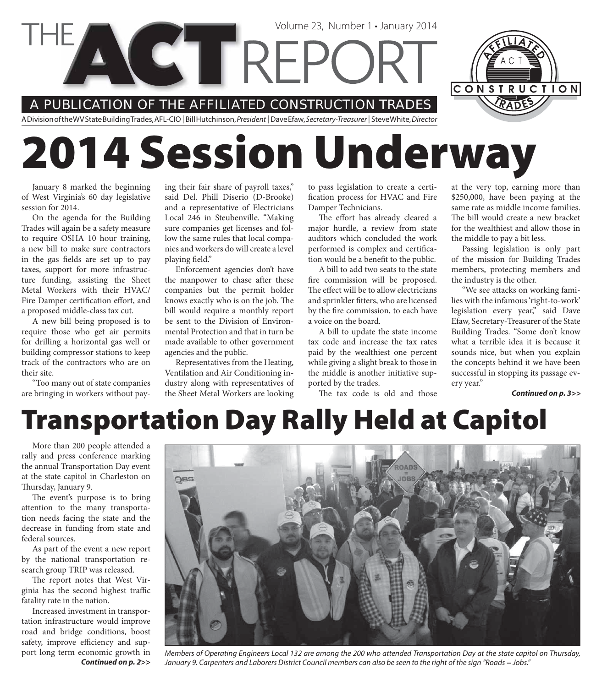

# **2014 Session Underway**

January 8 marked the beginning of West Virginia's 60 day legislative session for 2014.

On the agenda for the Building Trades will again be a safety measure to require OSHA 10 hour training, a new bill to make sure contractors in the gas fields are set up to pay taxes, support for more infrastructure funding, assisting the Sheet Metal Workers with their HVAC/ Fire Damper certification effort, and a proposed middle-class tax cut.

A new bill being proposed is to require those who get air permits for drilling a horizontal gas well or building compressor stations to keep track of the contractors who are on their site.

"Too many out of state companies are bringing in workers without paying their fair share of payroll taxes," said Del. Phill Diserio (D-Brooke) and a representative of Electricians Local 246 in Steubenville. "Making sure companies get licenses and follow the same rules that local companies and workers do will create a level playing field."

Enforcement agencies don't have the manpower to chase after these companies but the permit holder knows exactly who is on the job. The bill would require a monthly report be sent to the Division of Environmental Protection and that in turn be made available to other government agencies and the public.

Representatives from the Heating, Ventilation and Air Conditioning industry along with representatives of the Sheet Metal Workers are looking

to pass legislation to create a certification process for HVAC and Fire Damper Technicians.

The effort has already cleared a major hurdle, a review from state auditors which concluded the work performed is complex and certification would be a benefit to the public.

A bill to add two seats to the state fire commission will be proposed. The effect will be to allow electricians and sprinkler fitters, who are licensed by the fire commission, to each have a voice on the board.

A bill to update the state income tax code and increase the tax rates paid by the wealthiest one percent while giving a slight break to those in the middle is another initiative supported by the trades.

The tax code is old and those

at the very top, earning more than \$250,000, have been paying at the same rate as middle income families. The bill would create a new bracket for the wealthiest and allow those in the middle to pay a bit less.

Passing legislation is only part of the mission for Building Trades members, protecting members and the industry is the other.

"We see attacks on working families with the infamous 'right-to-work' legislation every year," said Dave Efaw, Secretary-Treasurer of the State Building Trades. "Some don't know what a terrible idea it is because it sounds nice, but when you explain the concepts behind it we have been successful in stopping its passage every year."

*Continued on p. 3>>*

### **Transportation Day Rally Held at Capitol**

More than 200 people attended a rally and press conference marking the annual Transportation Day event at the state capitol in Charleston on Thursday, January 9.

The event's purpose is to bring attention to the many transportation needs facing the state and the decrease in funding from state and federal sources.

As part of the event a new report by the national transportation research group TRIP was released.

The report notes that West Virginia has the second highest traffic fatality rate in the nation.

Increased investment in transportation infrastructure would improve road and bridge conditions, boost safety, improve efficiency and support long term economic growth in *Continued on p. 2>>*



Members of Operating Engineers Local 132 are among the 200 who attended Transportation Day at the state capitol on Thursday, January 9. Carpenters and Laborers District Council members can also be seen to the right of the sign "Roads = Jobs."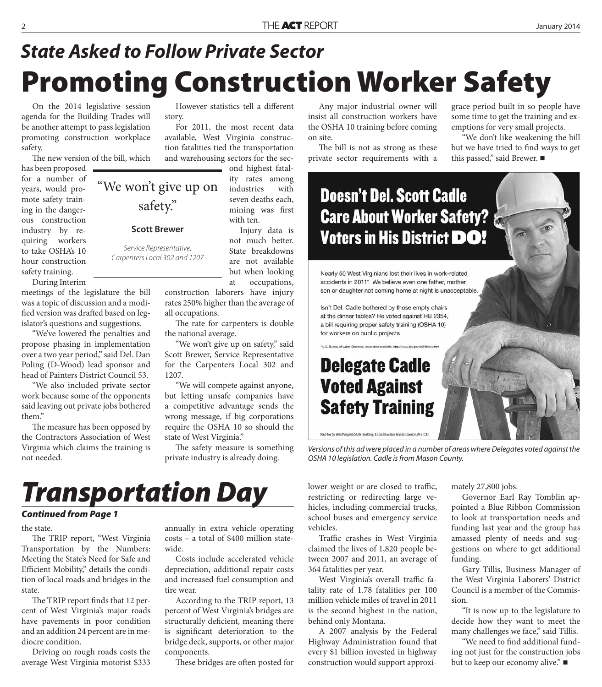## **Promoting Construction Worker Safety** *State Asked to Follow Private Sector*

On the 2014 legislative session agenda for the Building Trades will be another attempt to pass legislation promoting construction workplace safety.

The new version of the bill, which

has been proposed for a number of years, would promote safety training in the dangerous construction industry by requiring workers to take OSHA's 10 hour construction safety training.

During Interim meetings of the legislature the bill was a topic of discussion and a modified version was drafted based on legislator's questions and suggestions.

"We've lowered the penalties and propose phasing in implementation over a two year period," said Del. Dan Poling (D-Wood) lead sponsor and head of Painters District Council 53.

"We also included private sector work because some of the opponents said leaving out private jobs bothered them."

The measure has been opposed by the Contractors Association of West Virginia which claims the training is not needed.

However statistics tell a different story.

For 2011, the most recent data available, West Virginia construction fatalities tied the transportation and warehousing sectors for the sec-

ond highest fatality rates among "We won't give up on industries with seven deaths each, mining was first with ten.

> Injury data is not much better. State breakdowns are not available but when looking at occupations,

construction laborers have injury rates 250% higher than the average of all occupations.

The rate for carpenters is double the national average.

"We won't give up on safety," said Scott Brewer, Service Representative for the Carpenters Local 302 and 1207.

"We will compete against anyone, but letting unsafe companies have a competitive advantage sends the wrong message, if big corporations require the OSHA 10 so should the state of West Virginia."

The safety measure is something private industry is already doing.

Any major industrial owner will insist all construction workers have the OSHA 10 training before coming on site.

The bill is not as strong as these private sector requirements with a

grace period built in so people have some time to get the training and exemptions for very small projects.

"We don't like weakening the bill but we have tried to find ways to get this passed," said Brewer. ■

#### **Doesn't Del. Scott Cadle Care About Worker Safety? Voters in His District DO!**

Nearly 50 West Virginians lost their lives in work-related accidents in 2011. We believe even one father, mother, son or daughter not coming home at night is unacceptable.

Isn't Del. Cadle bothered by those empty chairs at the dinner tables? He voted against HB 2354, a bill requiring proper safety training (OSHA 10) for workers on public projects.

#### **Delegate Cadle Voted Against Safety Training**

Paid for by West Virginia State Building & Construction Trades Council, AFL-CIO

Versions of this ad were placed in a number of areas where Delegates voted against the OSHA 10 legislation. Cadle is from Mason County.

#### *Transportation Day*

safety."

**Scott Brewer**

Service Representative, Carpenters Local 302 and 1207

#### *Continued from Page 1*

the state.

The TRIP report, "West Virginia Transportation by the Numbers: Meeting the State's Need for Safe and Efficient Mobility," details the condition of local roads and bridges in the state.

The TRIP report finds that 12 percent of West Virginia's major roads have pavements in poor condition and an addition 24 percent are in mediocre condition.

Driving on rough roads costs the average West Virginia motorist \$333 annually in extra vehicle operating costs – a total of \$400 million statewide.

Costs include accelerated vehicle depreciation, additional repair costs and increased fuel consumption and tire wear.

According to the TRIP report, 13 percent of West Virginia's bridges are structurally deficient, meaning there is significant deterioration to the bridge deck, supports, or other major components.

These bridges are often posted for

lower weight or are closed to traffic, restricting or redirecting large vehicles, including commercial trucks, school buses and emergency service vehicles.

Traffic crashes in West Virginia claimed the lives of 1,820 people between 2007 and 2011, an average of 364 fatalities per year.

West Virginia's overall traffic fatality rate of 1.78 fatalities per 100 million vehicle miles of travel in 2011 is the second highest in the nation, behind only Montana.

A 2007 analysis by the Federal Highway Administration found that every \$1 billion invested in highway construction would support approximately 27,800 jobs.

Governor Earl Ray Tomblin appointed a Blue Ribbon Commission to look at transportation needs and funding last year and the group has amassed plenty of needs and suggestions on where to get additional funding.

Gary Tillis, Business Manager of the West Virginia Laborers' District Council is a member of the Commission.

"It is now up to the legislature to decide how they want to meet the many challenges we face," said Tillis.

"We need to find additional funding not just for the construction jobs but to keep our economy alive." ■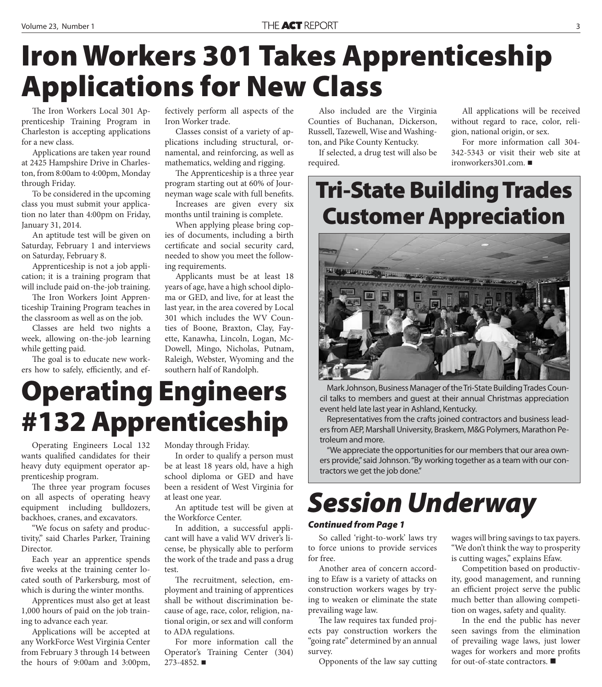## **Iron Workers 301 Takes Apprenticeship Applications for New Class**

The Iron Workers Local 301 Apprenticeship Training Program in Charleston is accepting applications for a new class.

Applications are taken year round at 2425 Hampshire Drive in Charleston, from 8:00am to 4:00pm, Monday through Friday.

To be considered in the upcoming class you must submit your application no later than 4:00pm on Friday, January 31, 2014.

An aptitude test will be given on Saturday, February 1 and interviews on Saturday, February 8.

Apprenticeship is not a job application; it is a training program that will include paid on-the-job training.

The Iron Workers Joint Apprenticeship Training Program teaches in the classroom as well as on the job.

Classes are held two nights a week, allowing on-the-job learning while getting paid.

The goal is to educate new workers how to safely, efficiently, and effectively perform all aspects of the Iron Worker trade.

Classes consist of a variety of applications including structural, ornamental, and reinforcing, as well as mathematics, welding and rigging.

The Apprenticeship is a three year program starting out at 60% of Journeyman wage scale with full benefits.

Increases are given every six months until training is complete.

When applying please bring copies of documents, including a birth certificate and social security card, needed to show you meet the following requirements.

Applicants must be at least 18 years of age, have a high school diploma or GED, and live, for at least the last year, in the area covered by Local 301 which includes the WV Counties of Boone, Braxton, Clay, Fayette, Kanawha, Lincoln, Logan, Mc-Dowell, Mingo, Nicholas, Putnam, Raleigh, Webster, Wyoming and the southern half of Randolph.

## **Operating Engineers #132 Apprenticeship**

Operating Engineers Local 132 wants qualified candidates for their heavy duty equipment operator apprenticeship program.

The three year program focuses on all aspects of operating heavy equipment including bulldozers, backhoes, cranes, and excavators.

"We focus on safety and productivity," said Charles Parker, Training Director.

Each year an apprentice spends five weeks at the training center located south of Parkersburg, most of which is during the winter months.

Apprentices must also get at least 1,000 hours of paid on the job training to advance each year.

Applications will be accepted at any WorkForce West Virginia Center from February 3 through 14 between the hours of 9:00am and 3:00pm, Monday through Friday.

In order to qualify a person must be at least 18 years old, have a high school diploma or GED and have been a resident of West Virginia for at least one year.

An aptitude test will be given at the Workforce Center.

In addition, a successful applicant will have a valid WV driver's license, be physically able to perform the work of the trade and pass a drug test.

The recruitment, selection, employment and training of apprentices shall be without discrimination because of age, race, color, religion, national origin, or sex and will conform to ADA regulations.

For more information call the Operator's Training Center (304) 273-4852.

Also included are the Virginia Counties of Buchanan, Dickerson, Russell, Tazewell, Wise and Washington, and Pike County Kentucky.

If selected, a drug test will also be required.

All applications will be received without regard to race, color, religion, national origin, or sex.

For more information call 304- 342-5343 or visit their web site at ironworkers301.com.

#### **Tri-State Building Trades Customer Appreciation**



Mark Johnson, Business Manager of the Tri-State Building Trades Council talks to members and guest at their annual Christmas appreciation event held late last year in Ashland, Kentucky.

Representatives from the crafts joined contractors and business leaders from AEP, Marshall University, Braskem, M&G Polymers, Marathon Petroleum and more.

"We appreciate the opportunities for our members that our area owners provide," said Johnson. "By working together as a team with our contractors we get the job done."

### *Session Underway*

#### *Continued from Page 1*

So called 'right-to-work' laws try to force unions to provide services for free.

Another area of concern according to Efaw is a variety of attacks on construction workers wages by trying to weaken or eliminate the state prevailing wage law.

The law requires tax funded projects pay construction workers the "going rate" determined by an annual survey.

Opponents of the law say cutting

wages will bring savings to tax payers. "We don't think the way to prosperity is cutting wages," explains Efaw.

Competition based on productivity, good management, and running an efficient project serve the public much better than allowing competition on wages, safety and quality.

In the end the public has never seen savings from the elimination of prevailing wage laws, just lower wages for workers and more profits for out-of-state contractors.